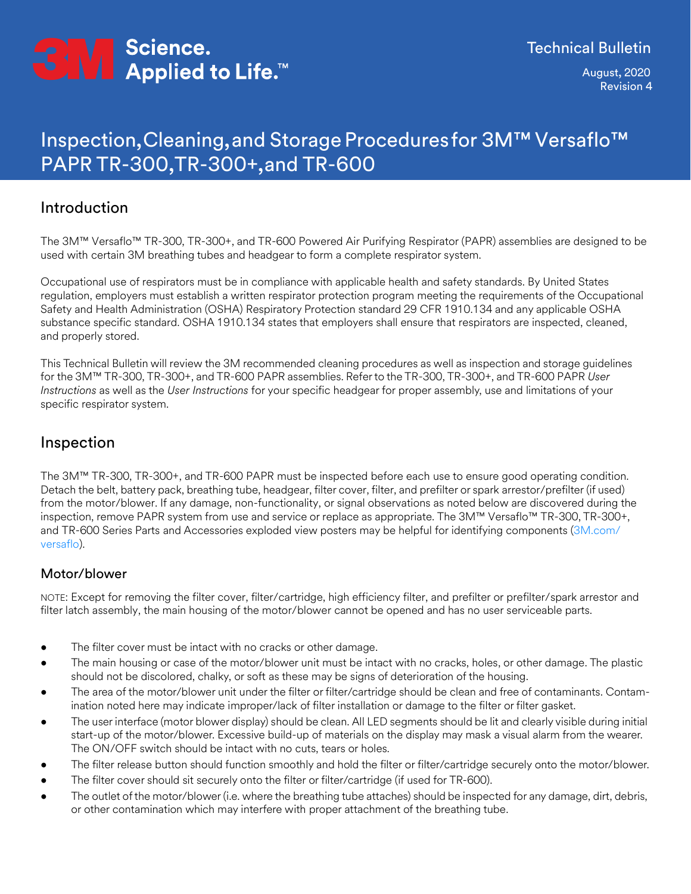

August, 2020 Revision �

# Inspection, Cleaning, and Storage Procedures for �M™ Versaflo™ PAPR TR-300, TR-300+, and TR-600

### Introduction

The 3M™ Versaflo™ TR-300, TR-300+, and TR-600 Powered Air Purifying Respirator (PAPR) assemblies are designed to be used with certain 3M breathing tubes and headgear to form a complete respirator system.

Occupational use of respirators must be in compliance with applicable health and safety standards. By United States regulation, employers must establish a written respirator protection program meeting the requirements of the Occupational Safety and Health Administration (OSHA) Respiratory Protection standard 29 CFR 1910.134 and any applicable OSHA substance specific standard. OSHA 1910.134 states that employers shall ensure that respirators are inspected, cleaned, and properly stored.

This Technical Bulletin will review the 3M recommended cleaning procedures as well as inspection and storage guidelines for the 3M™ TR-300, TR-300+, and TR-600 PAPR assemblies. Refer to the TR-300, TR-300+, and TR-600 PAPR *User Instructions* as well as the *User Instructions* for your specific headgear for proper assembly, use and limitations of your specific respirator system.

## Inspection

The 3M™ TR-300, TR-300+, and TR-600 PAPR must be inspected before each use to ensure good operating condition. Detach the belt, battery pack, breathing tube, headgear, filter cover, filter, and prefilter or spark arrestor/prefilter (if used) from the motor/blower. If any damage, non-functionality, or signal observations as noted below are discovered during the inspection, remove PAPR system from use and service or replace as appropriate. The 3M™ Versaflo™ TR-300, TR-300+, [and TR-600 Series Parts and Accessories exploded view posters may be helpful for identifying components \(3M.com/](http://www.3M.com/versaflo) versaflo).

### Motor/blower

NOTE: Except for removing the filter cover, filter/cartridge, high efficiency filter, and prefilter or prefilter/spark arrestor and filter latch assembly, the main housing of the motor/blower cannot be opened and has no user serviceable parts.

- The filter cover must be intact with no cracks or other damage.
- The main housing or case of the motor/blower unit must be intact with no cracks, holes, or other damage. The plastic should not be discolored, chalky, or soft as these may be signs of deterioration of the housing.
- The area of the motor/blower unit under the filter or filter/cartridge should be clean and free of contaminants. Contamination noted here may indicate improper/lack of filter installation or damage to the filter or filter gasket.
- The user interface (motor blower display) should be clean. All LED segments should be lit and clearly visible during initial start-up of the motor/blower. Excessive build-up of materials on the display may mask a visual alarm from the wearer. The ON/OFF switch should be intact with no cuts, tears or holes.
- The filter release button should function smoothly and hold the filter or filter/cartridge securely onto the motor/blower.
- The filter cover should sit securely onto the filter or filter/cartridge (if used for TR-600).
- The outlet of the motor/blower (i.e. where the breathing tube attaches) should be inspected for any damage, dirt, debris, or other contamination which may interfere with proper attachment of the breathing tube.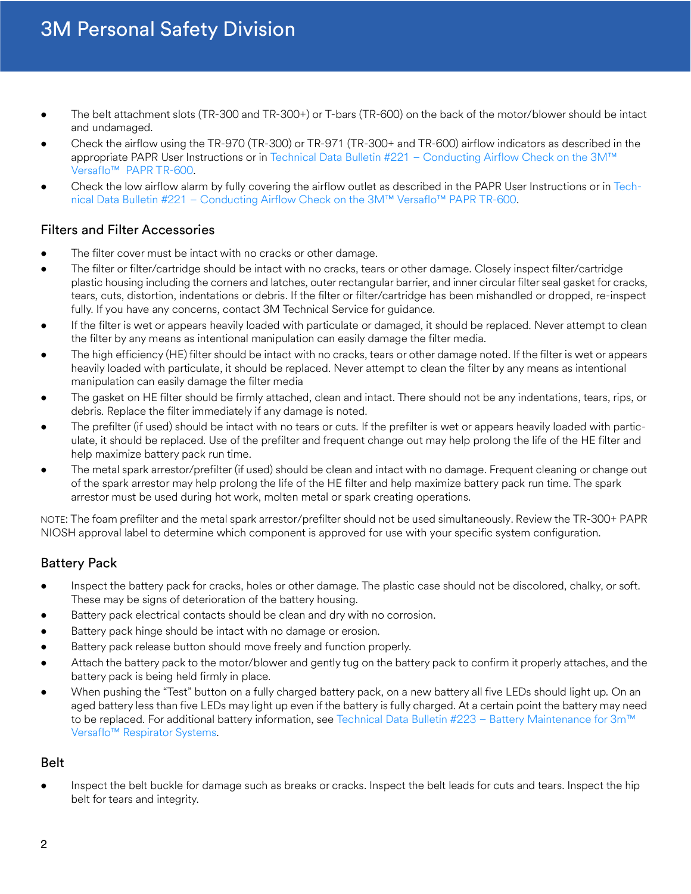## 3M Personal Safety Division

- The belt attachment slots (TR-300 and TR-300+) or T-bars (TR-600) on the back of the motor/blower should be intact and undamaged.
- Check the airflow using the TR-970 (TR-300) or TR-971 (TR-300+ and TR-600) airflow indicators as described in the appropriate PAPR User Instructions or in [Technical Data Bulletin #221 – Conducting Airflow Check on the 3M™](https://multimedia.3m.com/mws/media/1000745O/conducting-airflow-check-on-the-3m-versaflo-papr-tr-600-technical-bulletin.pdf) [Versaflo™ PAPR TR-600](https://multimedia.3m.com/mws/media/1000745O/conducting-airflow-check-on-the-3m-versaflo-papr-tr-600-technical-bulletin.pdf).
- Check the low airflow alarm by fully covering the airflow outlet as described in the PAPR User Instructions or in [Tech](https://multimedia.3m.com/mws/media/1000745O/conducting-airflow-check-on-the-3m-versaflo-papr-tr-600-technical-bulletin.pdf)[nical](https://multimedia.3m.com/mws/media/1000745O/conducting-airflow-check-on-the-3m-versaflo-papr-tr-600-technical-bulletin.pdf) [Data Bulletin #221 – Conducting Airflow Check on the 3M™ Versaflo™ PAPR TR-600.](https://multimedia.3m.com/mws/media/1000745O/conducting-airflow-check-on-the-3m-versaflo-papr-tr-600-technical-bulletin.pdf)

#### Filters and Filter Accessories

- The filter cover must be intact with no cracks or other damage.
- The filter or filter/cartridge should be intact with no cracks, tears or other damage. Closely inspect filter/cartridge plastic housing including the corners and latches, outer rectangular barrier, and inner circular filter seal gasket for cracks, tears, cuts, distortion, indentations or debris. If the filter or filter/cartridge has been mishandled or dropped, re-inspect fully. If you have any concerns, contact 3M Technical Service for guidance.
- If the filter is wet or appears heavily loaded with particulate or damaged, it should be replaced. Never attempt to clean the filter by any means as intentional manipulation can easily damage the filter media.
- The high efficiency (HE) filter should be intact with no cracks, tears or other damage noted. If the filter is wet or appears heavily loaded with particulate, it should be replaced. Never attempt to clean the filter by any means as intentional manipulation can easily damage the filter media
- The gasket on HE filter should be firmly attached, clean and intact. There should not be any indentations, tears, rips, or debris. Replace the filter immediately if any damage is noted.
- The prefilter (if used) should be intact with no tears or cuts. If the prefilter is wet or appears heavily loaded with particulate, it should be replaced. Use of the prefilter and frequent change out may help prolong the life of the HE filter and help maximize battery pack run time.
- The metal spark arrestor/prefilter (if used) should be clean and intact with no damage. Frequent cleaning or change out of the spark arrestor may help prolong the life of the HE filter and help maximize battery pack run time. The spark arrestor must be used during hot work, molten metal or spark creating operations.

NOTE: The foam prefilter and the metal spark arrestor/prefilter should not be used simultaneously. Review the TR-300+ PAPR NIOSH approval label to determine which component is approved for use with your specific system configuration.

### Battery Pack

- Inspect the battery pack for cracks, holes or other damage. The plastic case should not be discolored, chalky, or soft. These may be signs of deterioration of the battery housing.
- Battery pack electrical contacts should be clean and dry with no corrosion.
- Battery pack hinge should be intact with no damage or erosion.
- Battery pack release button should move freely and function properly.
- Attach the battery pack to the motor/blower and gently tug on the battery pack to confirm it properly attaches, and the battery pack is being held firmly in place.
- When pushing the "Test" button on a fully charged battery pack, on a new battery all five LEDs should light up. On an aged battery less than five LEDs may light up even if the battery is fully charged. At a certain point the battery may need to be replaced. For additional battery information, see [Technical Data Bulletin #223 – Battery Maintenance for 3m™](https://multimedia.3m.com/mws/media/1000747O/battery-maintenance-for-3m-versaflo-respirator-system-technical-bulletin.pdf) [Versaflo™](https://multimedia.3m.com/mws/media/1000747O/battery-maintenance-for-3m-versaflo-respirator-system-technical-bulletin.pdf) [Respirator Systems.](https://multimedia.3m.com/mws/media/1000747O/battery-maintenance-for-3m-versaflo-respirator-system-technical-bulletin.pdf)

#### Belt

• Inspect the belt buckle for damage such as breaks or cracks. Inspect the belt leads for cuts and tears. Inspect the hip belt for tears and integrity.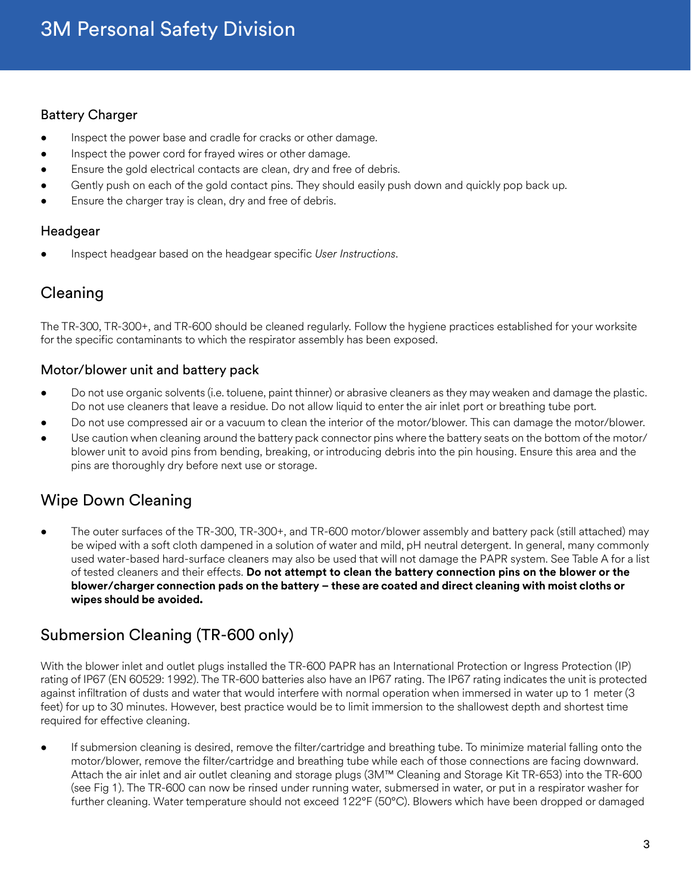#### Battery Charger

- Inspect the power base and cradle for cracks or other damage.
- Inspect the power cord for frayed wires or other damage.
- Ensure the gold electrical contacts are clean, dry and free of debris.
- Gently push on each of the gold contact pins. They should easily push down and quickly pop back up.
- Ensure the charger tray is clean, dry and free of debris.

#### Headgear

• Inspect headgear based on the headgear specific *User Instructions*.

## Cleaning

The TR-300, TR-300+, and TR-600 should be cleaned regularly. Follow the hygiene practices established for your worksite for the specific contaminants to which the respirator assembly has been exposed.

#### Motor/blower unit and battery pack

- Do not use organic solvents (i.e. toluene, paint thinner) or abrasive cleaners as they may weaken and damage the plastic. Do not use cleaners that leave a residue. Do not allow liquid to enter the air inlet port or breathing tube port.
- Do not use compressed air or a vacuum to clean the interior of the motor/blower. This can damage the motor/blower.
- Use caution when cleaning around the battery pack connector pins where the battery seats on the bottom of the motor/ blower unit to avoid pins from bending, breaking, or introducing debris into the pin housing. Ensure this area and the pins are thoroughly dry before next use or storage.

## Wipe Down Cleaning

• The outer surfaces of the TR-300, TR-300+, and TR-600 motor/blower assembly and battery pack (still attached) may be wiped with a soft cloth dampened in a solution of water and mild, pH neutral detergent. In general, many commonly used water-based hard-surface cleaners may also be used that will not damage the PAPR system. See Table A for a list of tested cleaners and their effects. **Do not attempt to clean the battery connection pins on the blower or the blower/charger connection pads on the battery – these are coated and direct cleaning with moist cloths or wipes should be avoided.**

## Submersion Cleaning (TR-600 only)

With the blower inlet and outlet plugs installed the TR-600 PAPR has an International Protection or Ingress Protection (IP) rating of IP67 (EN 60529: 1992). The TR-600 batteries also have an IP67 rating. The IP67 rating indicates the unit is protected against infiltration of dusts and water that would interfere with normal operation when immersed in water up to 1 meter (3 feet) for up to 30 minutes. However, best practice would be to limit immersion to the shallowest depth and shortest time required for effective cleaning.

• If submersion cleaning is desired, remove the filter/cartridge and breathing tube. To minimize material falling onto the motor/blower, remove the filter/cartridge and breathing tube while each of those connections are facing downward. Attach the air inlet and air outlet cleaning and storage plugs (3M™ Cleaning and Storage Kit TR-653) into the TR-600 (see Fig 1). The TR-600 can now be rinsed under running water, submersed in water, or put in a respirator washer for further cleaning. Water temperature should not exceed 122°F (50°C). Blowers which have been dropped or damaged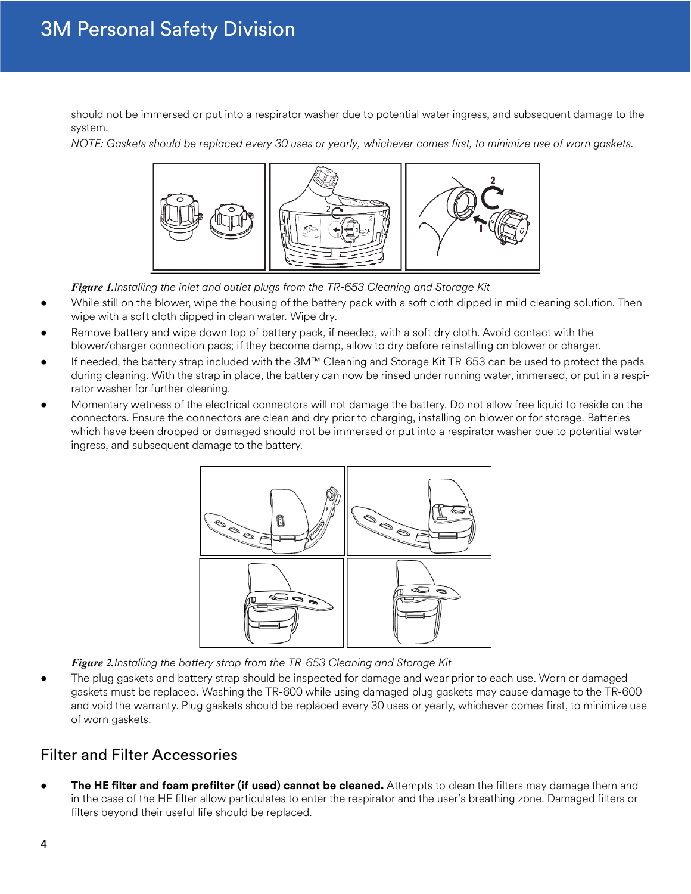should not be immersed or put into a respirator washer due to potential water ingress, and subsequent damage to the system.

*NOTE: Gaskets should be replaced every 30 uses or yearly, whichever comes first, to minimize use of worn gaskets.*



*Figure 1.Installing the inlet and outlet plugs from the TR-653 Cleaning and Storage Kit*

- While still on the blower, wipe the housing of the battery pack with a soft cloth dipped in mild cleaning solution. Then wipe with a soft cloth dipped in clean water. Wipe dry.
- Remove battery and wipe down top of battery pack, if needed, with a soft dry cloth. Avoid contact with the blower/charger connection pads; if they become damp, allow to dry before reinstalling on blower or charger.
- If needed, the battery strap included with the 3M™ Cleaning and Storage Kit TR-653 can be used to protect the pads during cleaning. With the strap in place, the battery can now be rinsed under running water, immersed, or put in a respirator washer for further cleaning.
- Momentary wetness of the electrical connectors will not damage the battery. Do not allow free liquid to reside on the connectors. Ensure the connectors are clean and dry prior to charging, installing on blower or for storage. Batteries which have been dropped or damaged should not be immersed or put into a respirator washer due to potential water ingress, and subsequent damage to the battery.



*Figure 2.Installing the battery strap from the TR-653 Cleaning and Storage Kit*

• The plug gaskets and battery strap should be inspected for damage and wear prior to each use. Worn or damaged gaskets must be replaced. Washing the TR-600 while using damaged plug gaskets may cause damage to the TR-600 and void the warranty. Plug gaskets should be replaced every 30 uses or yearly, whichever comes first, to minimize use of worn gaskets.

## Filter and Filter Accessories

• **The HE filter and foam prefilter (if used) cannot be cleaned.** Attempts to clean the filters may damage them and in the case of the HE filter allow particulates to enter the respirator and the user's breathing zone. Damaged filters or filters beyond their useful life should be replaced.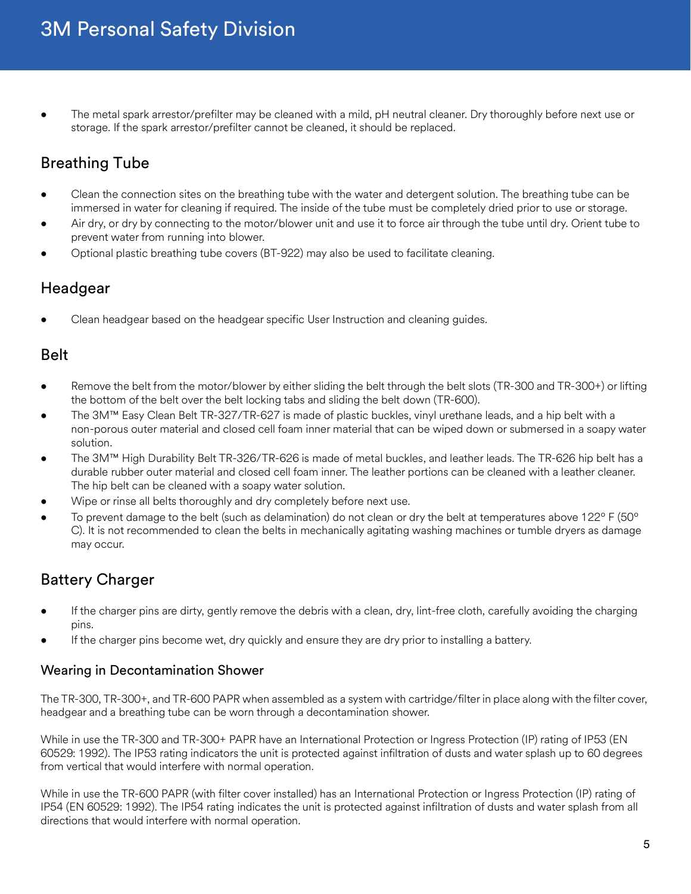• The metal spark arrestor/prefilter may be cleaned with a mild, pH neutral cleaner. Dry thoroughly before next use or storage. If the spark arrestor/prefilter cannot be cleaned, it should be replaced.

## Breathing Tube

- Clean the connection sites on the breathing tube with the water and detergent solution. The breathing tube can be immersed in water for cleaning if required. The inside of the tube must be completely dried prior to use or storage.
- Air dry, or dry by connecting to the motor/blower unit and use it to force air through the tube until dry. Orient tube to prevent water from running into blower.
- Optional plastic breathing tube covers (BT-922) may also be used to facilitate cleaning.

## Headgear

• Clean headgear based on the headgear specific User Instruction and cleaning guides.

### Belt

- Remove the belt from the motor/blower by either sliding the belt through the belt slots (TR-300 and TR-300+) or lifting the bottom of the belt over the belt locking tabs and sliding the belt down (TR-600).
- The 3M™ Easy Clean Belt TR-327/TR-627 is made of plastic buckles, vinyl urethane leads, and a hip belt with a non-porous outer material and closed cell foam inner material that can be wiped down or submersed in a soapy water solution.
- The 3M™ High Durability Belt TR-326/TR-626 is made of metal buckles, and leather leads. The TR-626 hip belt has a durable rubber outer material and closed cell foam inner. The leather portions can be cleaned with a leather cleaner. The hip belt can be cleaned with a soapy water solution.
- Wipe or rinse all belts thoroughly and dry completely before next use.
- To prevent damage to the belt (such as delamination) do not clean or dry the belt at temperatures above 122° F (50° C). It is not recommended to clean the belts in mechanically agitating washing machines or tumble dryers as damage may occur.

## Battery Charger

- If the charger pins are dirty, gently remove the debris with a clean, dry, lint-free cloth, carefully avoiding the charging pins.
- If the charger pins become wet, dry quickly and ensure they are dry prior to installing a battery.

#### Wearing in Decontamination Shower

The TR-300, TR-300+, and TR-600 PAPR when assembled as a system with cartridge/filter in place along with the filter cover, headgear and a breathing tube can be worn through a decontamination shower.

While in use the TR-300 and TR-300+ PAPR have an International Protection or Ingress Protection (IP) rating of IP53 (EN 60529: 1992). The IP53 rating indicators the unit is protected against infiltration of dusts and water splash up to 60 degrees from vertical that would interfere with normal operation.

While in use the TR-600 PAPR (with filter cover installed) has an International Protection or Ingress Protection (IP) rating of IP54 (EN 60529: 1992). The IP54 rating indicates the unit is protected against infiltration of dusts and water splash from all directions that would interfere with normal operation.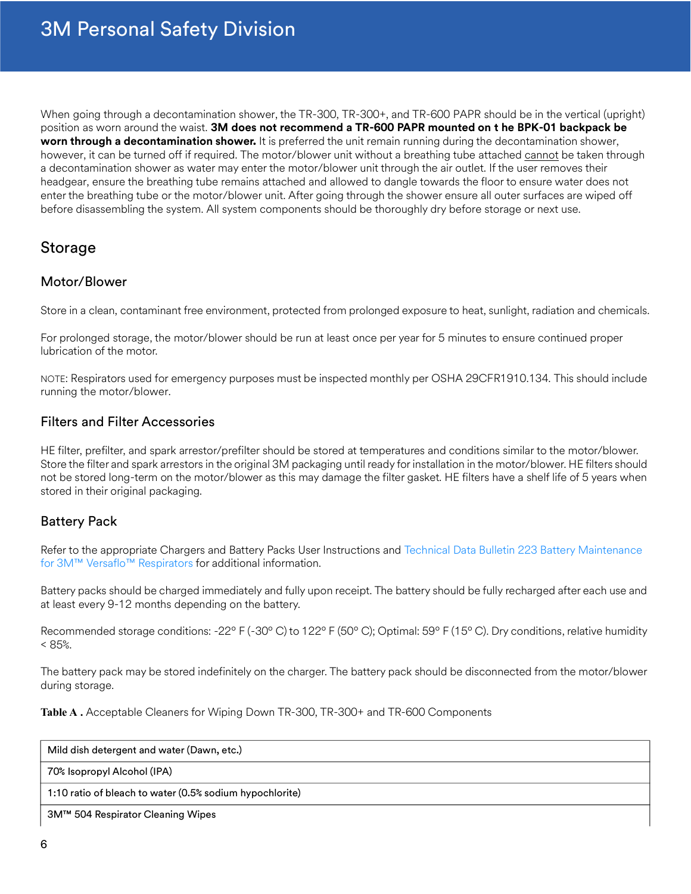When going through a decontamination shower, the TR-300, TR-300+, and TR-600 PAPR should be in the vertical (upright) position as worn around the waist. **3M does not recommend a TR-600 PAPR mounted on t he BPK-01 backpack be worn through a decontamination shower.** It is preferred the unit remain running during the decontamination shower, however, it can be turned off if required. The motor/blower unit without a breathing tube attached cannot be taken through a decontamination shower as water may enter the motor/blower unit through the air outlet. If the user removes their headgear, ensure the breathing tube remains attached and allowed to dangle towards the floor to ensure water does not enter the breathing tube or the motor/blower unit. After going through the shower ensure all outer surfaces are wiped off before disassembling the system. All system components should be thoroughly dry before storage or next use.

## Storage

#### Motor/Blower

Store in a clean, contaminant free environment, protected from prolonged exposure to heat, sunlight, radiation and chemicals.

For prolonged storage, the motor/blower should be run at least once per year for 5 minutes to ensure continued proper lubrication of the motor.

NOTE: Respirators used for emergency purposes must be inspected monthly per OSHA 29CFR1910.134. This should include running the motor/blower.

#### Filters and Filter Accessories

HE filter, prefilter, and spark arrestor/prefilter should be stored at temperatures and conditions similar to the motor/blower. Store the filter and spark arrestors in the original 3M packaging until ready for installation in the motor/blower. HE filters should not be stored long-term on the motor/blower as this may damage the filter gasket. HE filters have a shelf life of 5 years when stored in their original packaging.

#### Battery Pack

Refer to the appropriate Chargers and Battery Packs User Instructions and [Technical Data Bulletin 223 Battery Maintenance](https://multimedia.3m.com/mws/media/1000747O/battery-maintenance-for-3m-versaflo-respirator-system-technical-bulletin.pdf) [for 3M™ Versaflo™ Respirators](https://multimedia.3m.com/mws/media/1000747O/battery-maintenance-for-3m-versaflo-respirator-system-technical-bulletin.pdf) for additional information.

Battery packs should be charged immediately and fully upon receipt. The battery should be fully recharged after each use and at least every 9-12 months depending on the battery.

Recommended storage conditions: -22º F (-30º C) to 122º F (50º C); Optimal: 59º F (15º C). Dry conditions, relative humidity  $< 85%$ .

The battery pack may be stored indefinitely on the charger. The battery pack should be disconnected from the motor/blower during storage.

**Table A .** Acceptable Cleaners for Wiping Down TR-300, TR-300+ and TR-600 Components

| Mild dish detergent and water (Dawn, etc.)               |
|----------------------------------------------------------|
| 70% Isopropyl Alcohol (IPA)                              |
| 1:10 ratio of bleach to water (0.5% sodium hypochlorite) |
| 3M™ 504 Respirator Cleaning Wipes                        |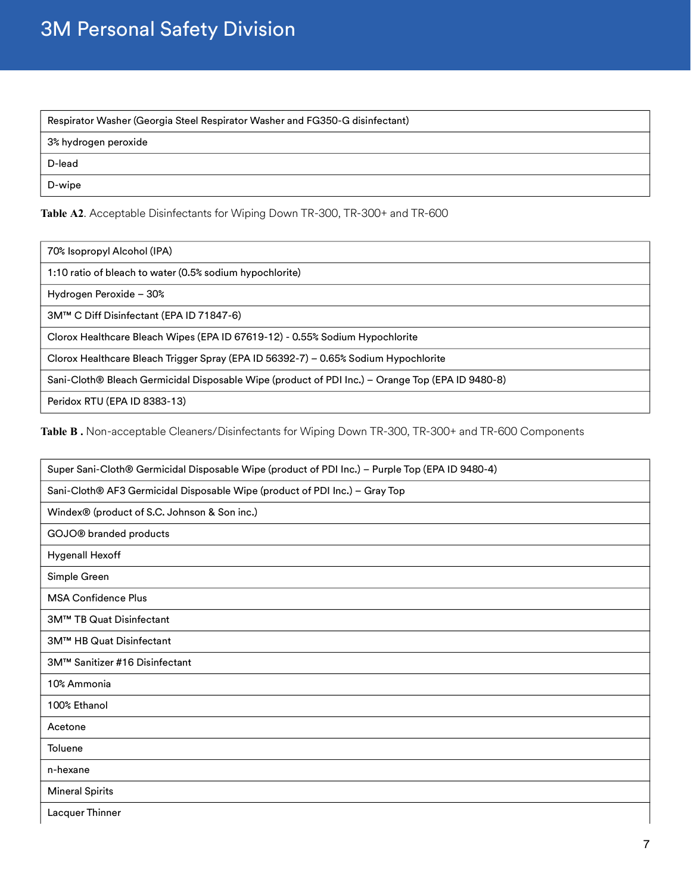# 3M Personal Safety Division

| Respirator Washer (Georgia Steel Respirator Washer and FG350-G disinfectant) |
|------------------------------------------------------------------------------|
| 3% hydrogen peroxide                                                         |
| D-lead                                                                       |
| D-wipe                                                                       |

**Table A2**. Acceptable Disinfectants for Wiping Down TR-300, TR-300+ and TR-600

| 70% Isopropyl Alcohol (IPA) |
|-----------------------------|
|-----------------------------|

1:10 ratio of bleach to water (0.5% sodium hypochlorite)

Hydrogen Peroxide – 30%

3M™ C Diff Disinfectant (EPA ID 71847-6)

Clorox Healthcare Bleach Wipes (EPA ID 67619-12) - 0.55% Sodium Hypochlorite

Clorox Healthcare Bleach Trigger Spray (EPA ID 56392-7) – 0.65% Sodium Hypochlorite

Sani-Cloth® Bleach Germicidal Disposable Wipe (product of PDI Inc.) – Orange Top (EPA ID 9480-8)

Peridox RTU (EPA ID 8383-13)

**Table B .** Non-acceptable Cleaners/Disinfectants for Wiping Down TR-300, TR-300+ and TR-600 Components

| Super Sani-Cloth® Germicidal Disposable Wipe (product of PDI Inc.) - Purple Top (EPA ID 9480-4) |
|-------------------------------------------------------------------------------------------------|
| Sani-Cloth® AF3 Germicidal Disposable Wipe (product of PDI Inc.) - Gray Top                     |
| Windex® (product of S.C. Johnson & Son inc.)                                                    |
| GOJO® branded products                                                                          |
| <b>Hygenall Hexoff</b>                                                                          |
| Simple Green                                                                                    |
| <b>MSA Confidence Plus</b>                                                                      |
| 3M™ TB Quat Disinfectant                                                                        |
| 3M™ HB Quat Disinfectant                                                                        |
| 3M™ Sanitizer #16 Disinfectant                                                                  |
| 10% Ammonia                                                                                     |
| 100% Ethanol                                                                                    |
| Acetone                                                                                         |
| Toluene                                                                                         |
| n-hexane                                                                                        |
| <b>Mineral Spirits</b>                                                                          |
| Lacquer Thinner                                                                                 |